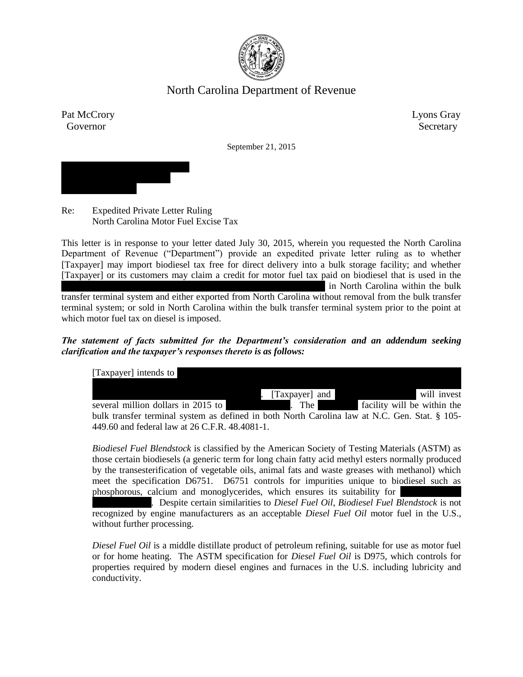

# North Carolina Department of Revenue

Pat McCrory Lyons Gray Governor Secretary

September 21, 2015



Re: Expedited Private Letter Ruling North Carolina Motor Fuel Excise Tax

This letter is in response to your letter dated July 30, 2015, wherein you requested the North Carolina Department of Revenue ("Department") provide an expedited private letter ruling as to whether [Taxpayer] may import biodiesel tax free for direct delivery into a bulk storage facility; and whether [Taxpayer] or its customers may claim a credit for motor fuel tax paid on biodiesel that is used in the in North Carolina within the bulk transfer terminal system and either exported from North Carolina without removal from the bulk transfer terminal system; or sold in North Carolina within the bulk transfer terminal system prior to the point at which motor fuel tax on diesel is imposed.

*The statement of facts submitted for the Department's consideration and an addendum seeking clarification and the taxpayer's responses thereto is as follows:*

| [Taxpayer] intends to                                                                         |                |                             |
|-----------------------------------------------------------------------------------------------|----------------|-----------------------------|
|                                                                                               | [Taxpayer] and | will invest                 |
| several million dollars in 2015 to                                                            | . The          | facility will be within the |
| bulk transfer terminal system as defined in both North Carolina law at N.C. Gen. Stat. § 105- |                |                             |
| 449.60 and federal law at 26 C.F.R. 48.4081-1.                                                |                |                             |

*Biodiesel Fuel Blendstock* is classified by the American Society of Testing Materials (ASTM) as those certain biodiesels (a generic term for long chain fatty acid methyl esters normally produced by the transesterification of vegetable oils, animal fats and waste greases with methanol) which meet the specification D6751. D6751 controls for impurities unique to biodiesel such as phosphorous, calcium and monoglycerides, which ensures its suitability for

*Diesel Fuel Oil*. Despite certain similarities to *Diesel Fuel Oil*, *Biodiesel Fuel Blendstock* is not recognized by engine manufacturers as an acceptable *Diesel Fuel Oil* motor fuel in the U.S., without further processing.

*Diesel Fuel Oil* is a middle distillate product of petroleum refining, suitable for use as motor fuel or for home heating. The ASTM specification for *Diesel Fuel Oil* is D975, which controls for properties required by modern diesel engines and furnaces in the U.S. including lubricity and conductivity.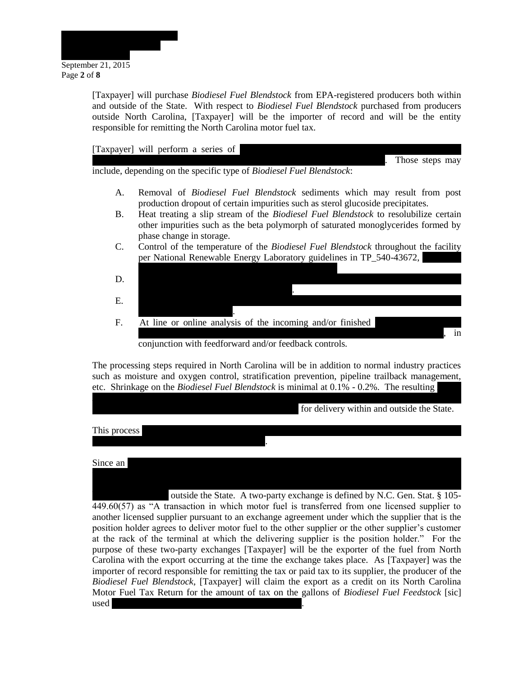

[Taxpayer] will purchase *Biodiesel Fuel Blendstock* from EPA-registered producers both within and outside of the State. With respect to *Biodiesel Fuel Blendstock* purchased from producers outside North Carolina, [Taxpayer] will be the importer of record and will be the entity responsible for remitting the North Carolina motor fuel tax.

[Taxpayer] will perform a series of  $\vert$ 

Those steps may

include, depending on the specific type of *Biodiesel Fuel Blendstock*:

- A. Removal of *Biodiesel Fuel Blendstock* sediments which may result from post production dropout of certain impurities such as sterol glucoside precipitates.
- B. Heat treating a slip stream of the *Biodiesel Fuel Blendstock* to resolubilize certain other impurities such as the beta polymorph of saturated monoglycerides formed by phase change in storage.
- C. Control of the temperature of the *Biodiesel Fuel Blendstock* throughout the facility per National Renewable Energy Laboratory guidelines in TP\_540-43672,
- D. Control of the *Biodiesel Fuel Blendstock* injection process, to meet the D975 specification with published to the published tolerance  $\mathbf{r}$ E. Injection of antioxidants and/or conductivity improvers into the resulting *Diesel Fuel Oil* for D975 compliance. F. At line or online analysis of the incoming and/or finished  $\lambda$ , in

conjunction with feedforward and/or feedback controls.

The processing steps required in North Carolina will be in addition to normal industry practices such as moisture and oxygen control, stratification prevention, pipeline trailback management, etc. Shrinkage on the *Biodiesel Fuel Blendstock* is minimal at 0.1% - 0.2%. The resulting

*Fuel Oil* created by the process in the facility will lose its identity as it is commingled with the

the terminal operator who is obligated to store *Diesel Fuel Oil* for various customers. The

for delivery within and outside the State.

This process converts a volume of *Biodiesel Fuel Blendstock* to an equivalent volume *Diesel Fuel* 

*Oil* using a proprietary manufacturing process.

Since an equivalent volume of *Diesel Fuel Piercess*, the volume will be sold to volume will be sold to volume will be sold to volume will be sold to volume will be sold to volume will be sold to volume will be sold to vol

Terminal Operator will "exchange" this Diesel Fuel Oil with other *Diesel Fuel Oil* within the outside the State. A two-party exchange is defined by N.C. Gen. Stat.  $\S$  105-449.60(57) as "A transaction in which motor fuel is transferred from one licensed supplier to another licensed supplier pursuant to an exchange agreement under which the supplier that is the position holder agrees to deliver motor fuel to the other supplier or the other supplier's customer at the rack of the terminal at which the delivering supplier is the position holder." For the purpose of these two-party exchanges [Taxpayer] will be the exporter of the fuel from North Carolina with the export occurring at the time the exchange takes place. As [Taxpayer] was the importer of record responsible for remitting the tax or paid tax to its supplier, the producer of the *Biodiesel Fuel Blendstock*, [Taxpayer] will claim the export as a credit on its North Carolina Motor Fuel Tax Return for the amount of tax on the gallons of *Biodiesel Fuel Feedstock* [sic] used in the manufacture of the exported *Diesel Fuel Oil*.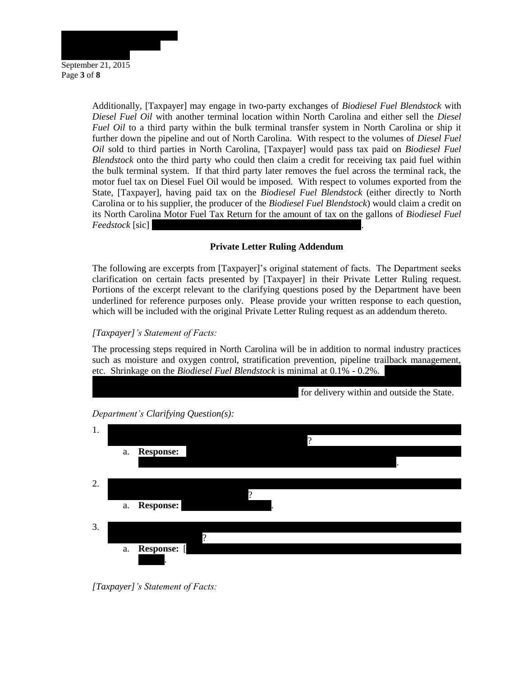

Additionally, [Taxpayer] may engage in two-party exchanges of *Biodiesel Fuel Blendstock* with *Diesel Fuel Oil* with another terminal location within North Carolina and either sell the *Diesel Fuel Oil* to a third party within the bulk terminal transfer system in North Carolina or ship it further down the pipeline and out of North Carolina. With respect to the volumes of *Diesel Fuel Oil* sold to third parties in North Carolina, [Taxpayer] would pass tax paid on *Biodiesel Fuel Blendstock* onto the third party who could then claim a credit for receiving tax paid fuel within the bulk terminal system. If that third party later removes the fuel across the terminal rack, the motor fuel tax on Diesel Fuel Oil would be imposed. With respect to volumes exported from the State, [Taxpayer], having paid tax on the *Biodiesel Fuel Blendstock* (either directly to North Carolina or to his supplier, the producer of the *Biodiesel Fuel Blendstock*) would claim a credit on its North Carolina Motor Fuel Tax Return for the amount of tax on the gallons of *Biodiesel Fuel Feedstock* [sic]

# **Private Letter Ruling Addendum**

The following are excerpts from [Taxpayer]'s original statement of facts. The Department seeks clarification on certain facts presented by [Taxpayer] in their Private Letter Ruling request. Portions of the excerpt relevant to the clarifying questions posed by the Department have been underlined for reference purposes only. Please provide your written response to each question, which will be included with the original Private Letter Ruling request as an addendum thereto.

## *[Taxpayer]'s Statement of Facts:*

The processing steps required in North Carolina will be in addition to normal industry practices such as moisture and oxygen control, stratification prevention, pipeline trailback management, etc. Shrinkage on the *Biodiesel Fuel Blendstock* is minimal at 0.1% - 0.2%.

*Fuel Oil* created by the process in the facility will lose its identity as it is commingled with the





*Department's Clarifying Question(s):*

*[Taxpayer]'s Statement of Facts:*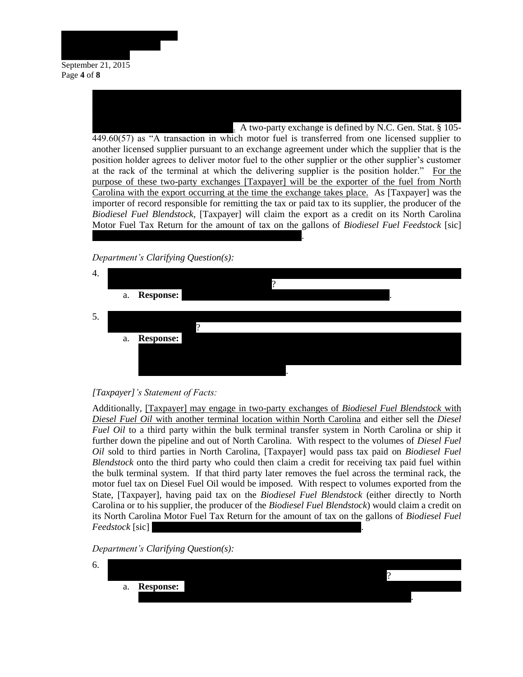

Terminal Operator will "exchange" this Diesel Fuel Oil with other *Diesel Fuel Oil* within the . A two-party exchange is defined by N.C. Gen. Stat.  $\S$  105-449.60(57) as "A transaction in which motor fuel is transferred from one licensed supplier to another licensed supplier pursuant to an exchange agreement under which the supplier that is the position holder agrees to deliver motor fuel to the other supplier or the other supplier's customer at the rack of the terminal at which the delivering supplier is the position holder." For the purpose of these two-party exchanges [Taxpayer] will be the exporter of the fuel from North Carolina with the export occurring at the time the exchange takes place. As [Taxpayer] was the importer of record responsible for remitting the tax or paid tax to its supplier, the producer of the *Biodiesel Fuel Blendstock*, [Taxpayer] will claim the export as a credit on its North Carolina Motor Fuel Tax Return for the amount of tax on the gallons of *Biodiesel Fuel Feedstock* [sic] used in the manufacture of the exported *Diesel Fuel Oil*.

Since an equivalent volume of *Diesel Fuel Oil* results in this process, the volume will be sold to the terminal operator who is obligated to store *Diesel Fuel Oil* for various customers. The

*Department's Clarifying Question(s):*

| 4. |    | a. Response:     |   | $\cdot$ |  |
|----|----|------------------|---|---------|--|
| 5. |    |                  |   |         |  |
|    |    |                  | റ |         |  |
|    | a. | <b>Response:</b> |   |         |  |
|    |    |                  |   |         |  |
|    |    |                  |   |         |  |
|    |    |                  |   |         |  |

#### *[Taxpayer]'s Statement of Facts:*

Additionally, [Taxpayer] may engage in two-party exchanges of *Biodiesel Fuel Blendstock* with *Diesel Fuel Oil* with another terminal location within North Carolina and either sell the *Diesel Fuel Oil* to a third party within the bulk terminal transfer system in North Carolina or ship it further down the pipeline and out of North Carolina. With respect to the volumes of *Diesel Fuel Oil* sold to third parties in North Carolina, [Taxpayer] would pass tax paid on *Biodiesel Fuel Blendstock* onto the third party who could then claim a credit for receiving tax paid fuel within the bulk terminal system. If that third party later removes the fuel across the terminal rack, the motor fuel tax on Diesel Fuel Oil would be imposed. With respect to volumes exported from the State, [Taxpayer], having paid tax on the *Biodiesel Fuel Blendstock* (either directly to North Carolina or to his supplier, the producer of the *Biodiesel Fuel Blendstock*) would claim a credit on its North Carolina Motor Fuel Tax Return for the amount of tax on the gallons of *Biodiesel Fuel Feedstock* [sic]

*Department's Clarifying Question(s):*

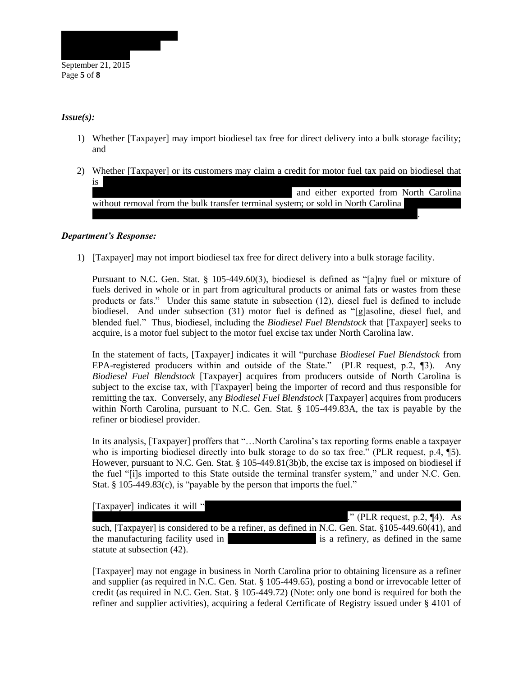

### *Issue(s):*

- 1) Whether [Taxpayer] may import biodiesel tax free for direct delivery into a bulk storage facility; and
- 2) Whether [Taxpayer] or its customers may claim a credit for motor fuel tax paid on biodiesel that  $is$ and either exported from North Carolina without removal from the bulk transfer terminal system; or sold in North Carolina

#### *Department's Response:*

1) [Taxpayer] may not import biodiesel tax free for direct delivery into a bulk storage facility.

transfer terminal system prior to the point at which motor fuel tax on diesel is imposed.

Pursuant to N.C. Gen. Stat. § 105-449.60(3), biodiesel is defined as "[a]ny fuel or mixture of fuels derived in whole or in part from agricultural products or animal fats or wastes from these products or fats." Under this same statute in subsection (12), diesel fuel is defined to include biodiesel. And under subsection (31) motor fuel is defined as "[g]asoline, diesel fuel, and blended fuel." Thus, biodiesel, including the *Biodiesel Fuel Blendstock* that [Taxpayer] seeks to acquire, is a motor fuel subject to the motor fuel excise tax under North Carolina law.

In the statement of facts, [Taxpayer] indicates it will "purchase *Biodiesel Fuel Blendstock* from EPA-registered producers within and outside of the State." (PLR request, p.2, ¶3). Any *Biodiesel Fuel Blendstock* [Taxpayer] acquires from producers outside of North Carolina is subject to the excise tax, with [Taxpayer] being the importer of record and thus responsible for remitting the tax. Conversely, any *Biodiesel Fuel Blendstock* [Taxpayer] acquires from producers within North Carolina, pursuant to N.C. Gen. Stat. § 105-449.83A, the tax is payable by the refiner or biodiesel provider.

In its analysis, [Taxpayer] proffers that "…North Carolina's tax reporting forms enable a taxpayer who is importing biodiesel directly into bulk storage to do so tax free." (PLR request, p.4, \[5). However, pursuant to N.C. Gen. Stat. § 105-449.81(3b)b, the excise tax is imposed on biodiesel if the fuel "[i]s imported to this State outside the terminal transfer system," and under N.C. Gen. Stat. § 105-449.83(c), is "payable by the person that imports the fuel."

[Taxpayer] indicates it will "

*Biodiesel Fuel Blendstock* into D975-compliant *Biodiesel Fuel Oil*." (PLR request, p.2, ¶4). As

such, [Taxpayer] is considered to be a refiner, as defined in N.C. Gen. Stat. §105-449.60(41), and the manufacturing facility used in the conversion process is a refinery, as defined in the same statute at subsection (42).

[Taxpayer] may not engage in business in North Carolina prior to obtaining licensure as a refiner and supplier (as required in N.C. Gen. Stat. § 105-449.65), posting a bond or irrevocable letter of credit (as required in N.C. Gen. Stat. § 105-449.72) (Note: only one bond is required for both the refiner and supplier activities), acquiring a federal Certificate of Registry issued under § 4101 of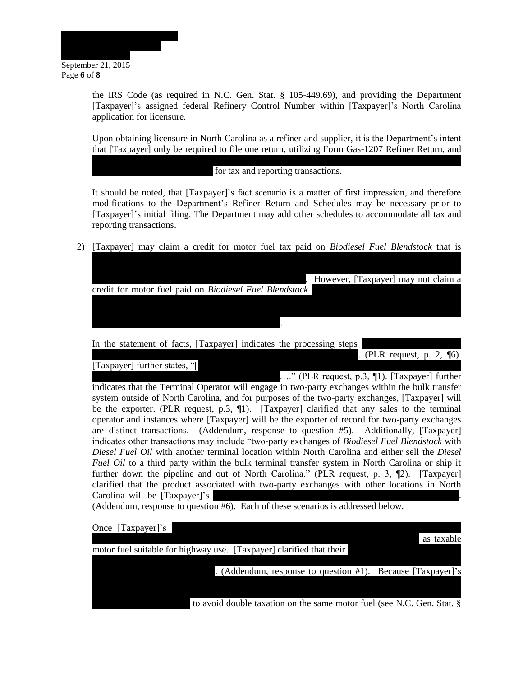

the IRS Code (as required in N.C. Gen. Stat. § 105-449.69), and providing the Department [Taxpayer]'s assigned federal Refinery Control Number within [Taxpayer]'s North Carolina application for licensure.

Upon obtaining licensure in North Carolina as a refiner and supplier, it is the Department's intent that [Taxpayer] only be required to file one return, utilizing Form Gas-1207 Refiner Return, and

schedules Gas-1207RS for receipts (*Biodiesel Fuel Blendstock*) and Gas-1207DS for for tax and reporting transactions.

It should be noted, that [Taxpayer]'s fact scenario is a matter of first impression, and therefore modifications to the Department's Refiner Return and Schedules may be necessary prior to [Taxpayer]'s initial filing. The Department may add other schedules to accommodate all tax and reporting transactions.

2) [Taxpayer] may claim a credit for motor fuel tax paid on *Biodiesel Fuel Blendstock* that is

| However, [Taxpayer] may not claim a                     |
|---------------------------------------------------------|
| credit for motor fuel paid on Biodiesel Fuel Blendstock |
|                                                         |
|                                                         |
|                                                         |

In the statement of facts, [Taxpayer] indicates the processing steps

[Taxpayer] further states, "[

*Blendstermer in all request, p. 2, ¶6).* 

...." (PLR request, p.3, ¶1). [Taxpayer] further indicates that the Terminal Operator will engage in two-party exchanges within the bulk transfer system outside of North Carolina, and for purposes of the two-party exchanges, [Taxpayer] will be the exporter. (PLR request, p.3, 1). [Taxpayer] clarified that any sales to the terminal operator and instances where [Taxpayer] will be the exporter of record for two-party exchanges are distinct transactions. (Addendum, response to question #5). Additionally, [Taxpayer] indicates other transactions may include "two-party exchanges of *Biodiesel Fuel Blendstock* with *Diesel Fuel Oil* with another terminal location within North Carolina and either sell the *Diesel Fuel Oil* to a third party within the bulk terminal transfer system in North Carolina or ship it further down the pipeline and out of North Carolina." (PLR request, p. 3, 12). [Taxpayer] clarified that the product associated with two-party exchanges with other locations in North Carolina will be [Taxpayer]'s

(Addendum, response to question #6). Each of these scenarios is addressed below.

| Once [Taxpayer]'s                                                      | as taxable |
|------------------------------------------------------------------------|------------|
| motor fuel suitable for highway use. [Taxpayer] clarified that their   |            |
| (Addendum, response to question #1). Because [Taxpayer]'s              |            |
|                                                                        |            |
| to avoid double taxation on the same motor fuel (see N.C. Gen. Stat. § |            |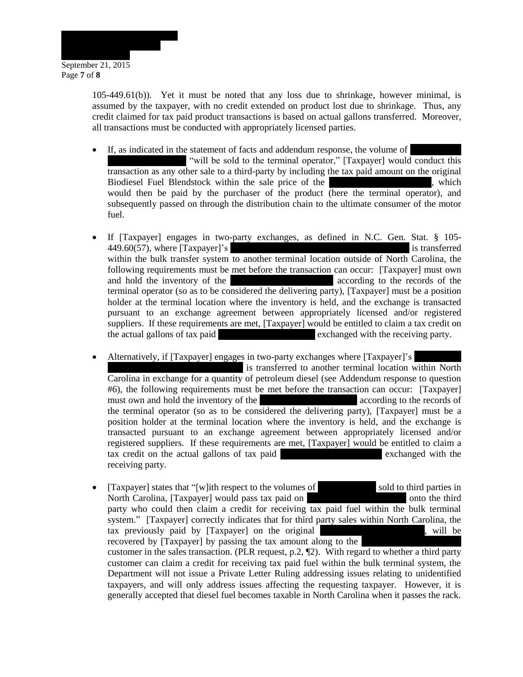

105-449.61(b)). Yet it must be noted that any loss due to shrinkage, however minimal, is assumed by the taxpayer, with no credit extended on product lost due to shrinkage. Thus, any credit claimed for tax paid product transactions is based on actual gallons transferred. Moreover, all transactions must be conducted with appropriately licensed parties.

- If, as indicated in the statement of facts and addendum response, the volume of "will be sold to the terminal operator," [Taxpayer] would conduct this transaction as any other sale to a third-party by including the tax paid amount on the original Biodiesel Fuel Blendstock within the sale price of the converted Diesel Fuel Diesel Fuel Diesel Blendstock within the sale price of the would then be paid by the purchaser of the product (here the terminal operator), and subsequently passed on through the distribution chain to the ultimate consumer of the motor fuel.
- If [Taxpayer] engages in two-party exchanges, as defined in N.C. Gen. Stat. § 105- 449.60(57), where [Taxpayer]'s commission of the Diesel Fuel Oil is transferred is transferred within the bulk transfer system to another terminal location outside of North Carolina, the following requirements must be met before the transaction can occur: [Taxpayer] must own and hold the inventory of the converted Diesel Fuel According to the records of the terminal operator (so as to be considered the delivering party), [Taxpayer] must be a position holder at the terminal location where the inventory is held, and the exchange is transacted pursuant to an exchange agreement between appropriately licensed and/or registered suppliers. If these requirements are met, [Taxpayer] would be entitled to claim a tax credit on the actual gallons of tax paid exchanged with the receiving party.
- Alternatively, if [Taxpayer] engages in two-party exchanges where [Taxpayer]'s is transferred to another terminal location within North Carolina in exchange for a quantity of petroleum diesel (see Addendum response to question #6), the following requirements must be met before the transaction can occur: [Taxpayer] must own and hold the inventory of the converted Diesel Fuel According to the records of the terminal operator (so as to be considered the delivering party), [Taxpayer] must be a position holder at the terminal location where the inventory is held, and the exchange is transacted pursuant to an exchange agreement between appropriately licensed and/or registered suppliers. If these requirements are met, [Taxpayer] would be entitled to claim a tax credit on the actual gallons of tax paid converted  $\alpha$  exchanged with the receiving party.
- [Taxpayer] states that "[w]ith respect to the volumes of sold to third parties in North Carolina, [Taxpayer] would pass tax paid on **Biodiese Fundstock** onto the third party who could then claim a credit for receiving tax paid fuel within the bulk terminal system." [Taxpayer] correctly indicates that for third party sales within North Carolina, the tax previously paid by [Taxpayer] on the original *Biodiesel Fuel Blendstock*, will be recovered by  $[Taxpayer]$  by passing the tax amount along to the customer in the sales transaction. (PLR request, p.2,  $\P$ 2). With regard to whether a third party customer can claim a credit for receiving tax paid fuel within the bulk terminal system, the Department will not issue a Private Letter Ruling addressing issues relating to unidentified taxpayers, and will only address issues affecting the requesting taxpayer. However, it is generally accepted that diesel fuel becomes taxable in North Carolina when it passes the rack.